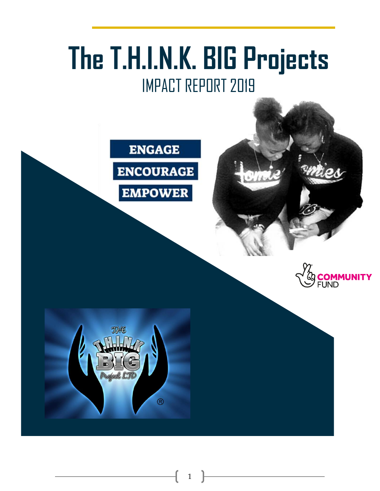# **The T.H.I.N.K. BIG Projects** IMPACT REPORT 2019

1





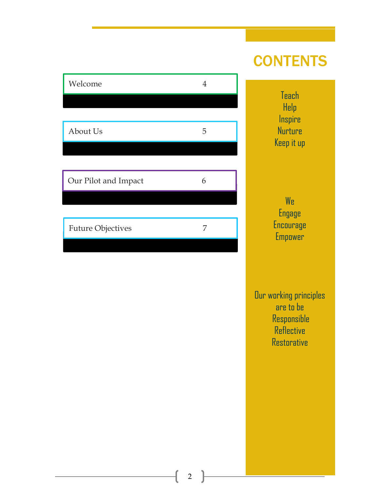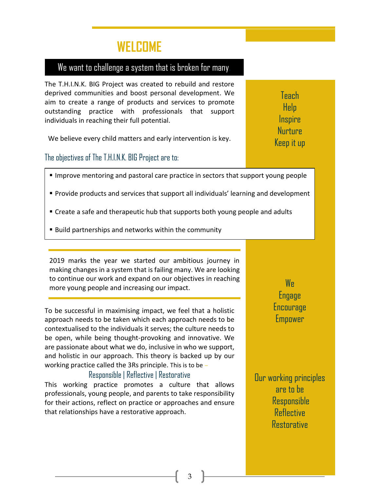### **WELCOME**

### We want to challenge a system that is broken for many.

The T.H.I.N.K. BIG Project was created to rebuild and restore deprived communities and boost personal development. We aim to create a range of products and services to promote outstanding practice with professionals that support individuals in reaching their full potential.

We believe every child matters and early intervention is key.

The objectives of The T.H.I.N.K. BIG Project are to:

- Improve mentoring and pastoral care practice in sectors that support young people
- Provide products and services that support all individuals' learning and development
- Create a safe and therapeutic hub that supports both young people and adults
- Build partnerships and networks within the community

2019 marks the year we started our ambitious journey in making changes in a system that is failing many. We are looking to continue our work and expand on our objectives in reaching more young people and increasing our impact.

To be successful in maximising impact, we feel that a holistic approach needs to be taken which each approach needs to be contextualised to the individuals it serves; the culture needs to be open, while being thought-provoking and innovative. We are passionate about what we do, inclusive in who we support, and holistic in our approach. This theory is backed up by our working practice called the 3Rs principle. This is to be *–*

### Responsible | Reflective | Restorative

This working practice promotes a culture that allows professionals, young people, and parents to take responsibility for their actions, reflect on practice or approaches and ensure that relationships have a restorative approach.

W<sub>R</sub> Engage Encourage Empower

Our working principles are to be **Responsible Reflective Restorative** 

3

**Teach** Help **Inspire Nurture** Keep it up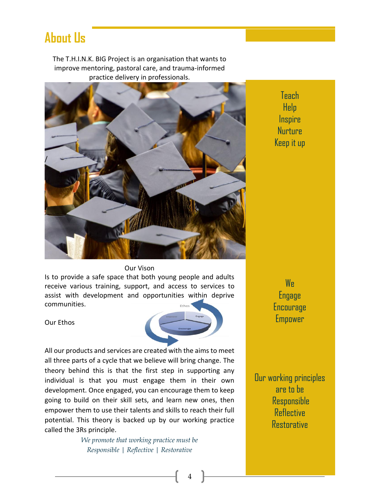### **About Us**

The T.H.I.N.K. BIG Project is an organisation that wants to improve mentoring, pastoral care, and trauma-informed practice delivery in professionals.



Teach Help **Inspire** Nurture Keep it up

#### Our Vison

Is to provide a safe space that both young people and adults receive various training, support, and access to services to assist with development and opportunities within deprive communities.

Our Ethos



4

All our products and services are created with the aims to meet all three parts of a cycle that we believe will bring change. The theory behind this is that the first step in supporting any individual is that you must engage them in their own development. Once engaged, you can encourage them to keep going to build on their skill sets, and learn new ones, then empower them to use their talents and skills to reach their full potential. This theory is backed up by our working practice called the 3Rs principle.

> *We promote that working practice must be Responsible | Reflective | Restorative*

W<sub>R</sub> Engage Encourage **Empower** 

Our working principles are to be **Responsible** Reflective **Restorative**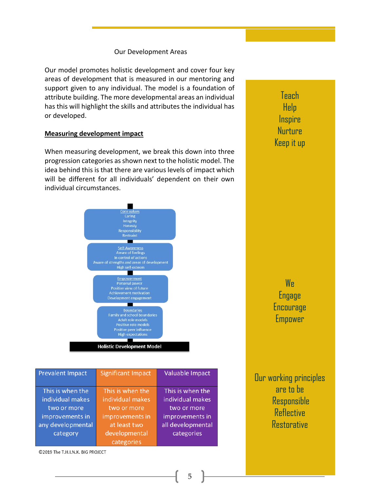#### Our Development Areas

Our model promotes holistic development and cover four key areas of development that is measured in our mentoring and support given to any individual. The model is a foundation of attribute building. The more developmental areas an individual has this will highlight the skills and attributes the individual has or developed.

#### **Measuring development impact**

When measuring development, we break this down into three progression categories as shown next to the holistic model. The idea behind this is that there are various levels of impact which will be different for all individuals' dependent on their own individual circumstances.



| <b>Prevalent Impact</b>                                                                                 | <b>Significant Impact</b>                                                                                             | Valuable Impact                                                                                           |
|---------------------------------------------------------------------------------------------------------|-----------------------------------------------------------------------------------------------------------------------|-----------------------------------------------------------------------------------------------------------|
| This is when the<br>individual makes<br>two or more<br>improvements in<br>any developmental<br>category | This is when the<br>individual makes<br>two or more<br>improvements in<br>at least two<br>developmental<br>categories | This is when the<br>individual makes<br>two or more<br>improvements in<br>all developmental<br>categories |

©2019 The T.H.I.N.K. BIG PROJECT

Teach Help **Inspire** Nurture Keep it up

W<sub>R</sub> Engage **Encourage Empower** 

Our working principles are to be **Responsible** Reflective **Restorative** 

5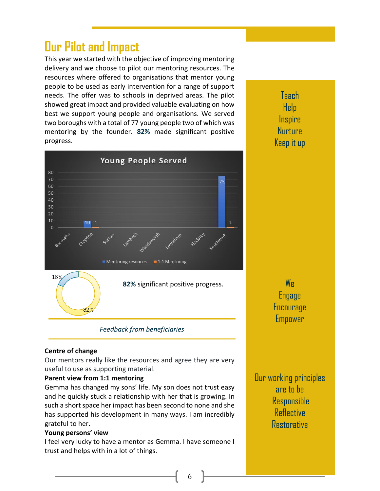## **Our Pilot and Impact**

This year we started with the objective of improving mentoring delivery and we choose to pilot our mentoring resources. The resources where offered to organisations that mentor young people to be used as early intervention for a range of support needs. The offer was to schools in deprived areas. The pilot showed great impact and provided valuable evaluating on how best we support young people and organisations. We served two boroughs with a total of 77 young people two of which was mentoring by the founder. **82%** made significant positive progress.



Teach Help **Inspire** Nurture Keep it up

W<sub>R</sub> Engage **Encourage** Empower

### *Feedback from beneficiaries*

### **Centre of change**

Our mentors really like the resources and agree they are very useful to use as supporting material.

### **Parent view from 1:1 mentoring**

Gemma has changed my sons' life. My son does not trust easy and he quickly stuck a relationship with her that is growing. In such a short space her impact has been second to none and she has supported his development in many ways. I am incredibly grateful to her.

### **Young persons' view**

I feel very lucky to have a mentor as Gemma. I have someone I trust and helps with in a lot of things.

6

Our working principles are to be **Responsible Reflective Restorative**